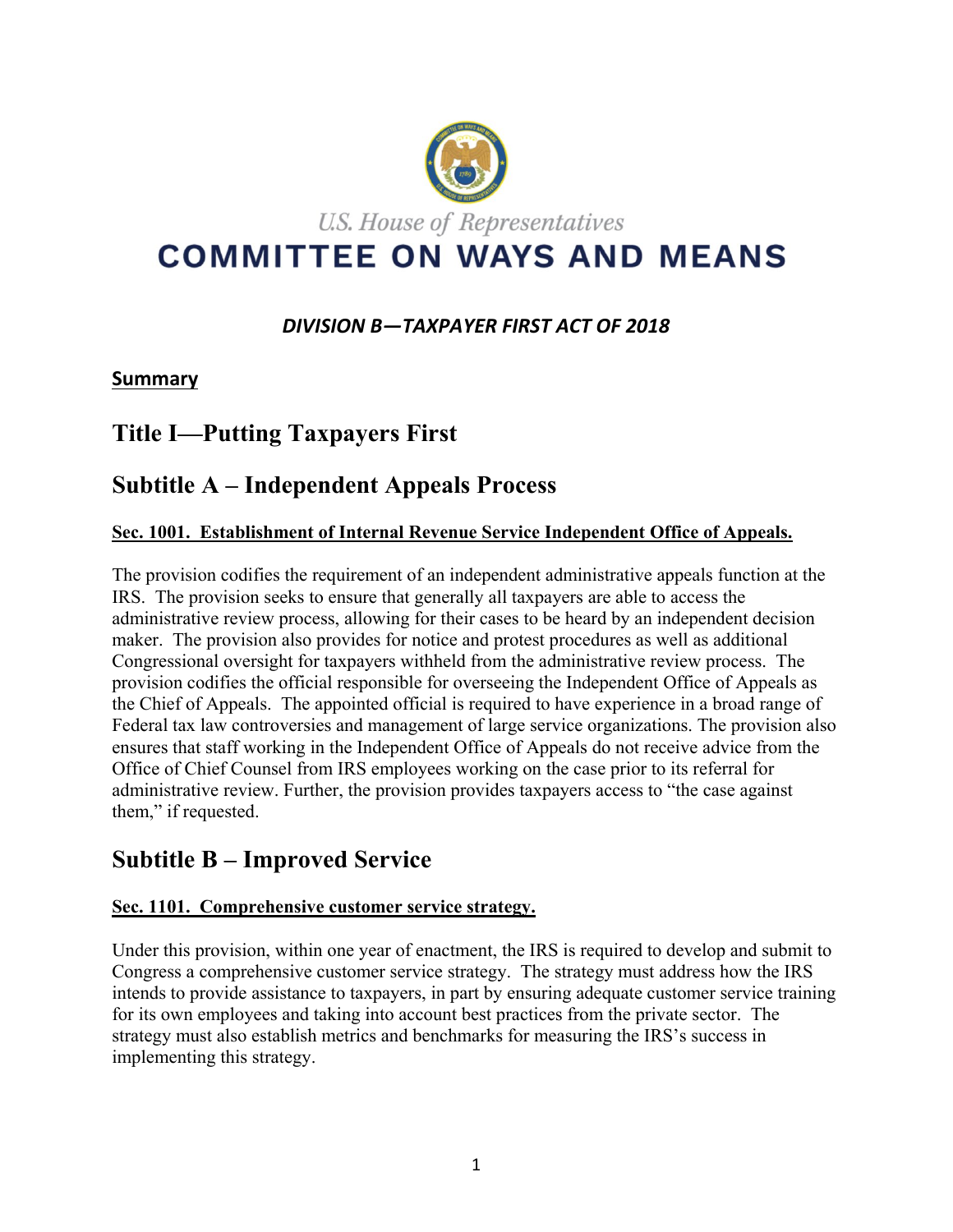

# *DIVISION B—TAXPAYER FIRST ACT OF 2018*

# **Summary**

# **Title I—Putting Taxpayers First**

# **Subtitle A – Independent Appeals Process**

# **Sec. 1001. Establishment of Internal Revenue Service Independent Office of Appeals.**

The provision codifies the requirement of an independent administrative appeals function at the IRS. The provision seeks to ensure that generally all taxpayers are able to access the administrative review process, allowing for their cases to be heard by an independent decision maker. The provision also provides for notice and protest procedures as well as additional Congressional oversight for taxpayers withheld from the administrative review process. The provision codifies the official responsible for overseeing the Independent Office of Appeals as the Chief of Appeals. The appointed official is required to have experience in a broad range of Federal tax law controversies and management of large service organizations. The provision also ensures that staff working in the Independent Office of Appeals do not receive advice from the Office of Chief Counsel from IRS employees working on the case prior to its referral for administrative review. Further, the provision provides taxpayers access to "the case against them," if requested.

# **Subtitle B – Improved Service**

# **Sec. 1101. Comprehensive customer service strategy.**

Under this provision, within one year of enactment, the IRS is required to develop and submit to Congress a comprehensive customer service strategy. The strategy must address how the IRS intends to provide assistance to taxpayers, in part by ensuring adequate customer service training for its own employees and taking into account best practices from the private sector. The strategy must also establish metrics and benchmarks for measuring the IRS's success in implementing this strategy.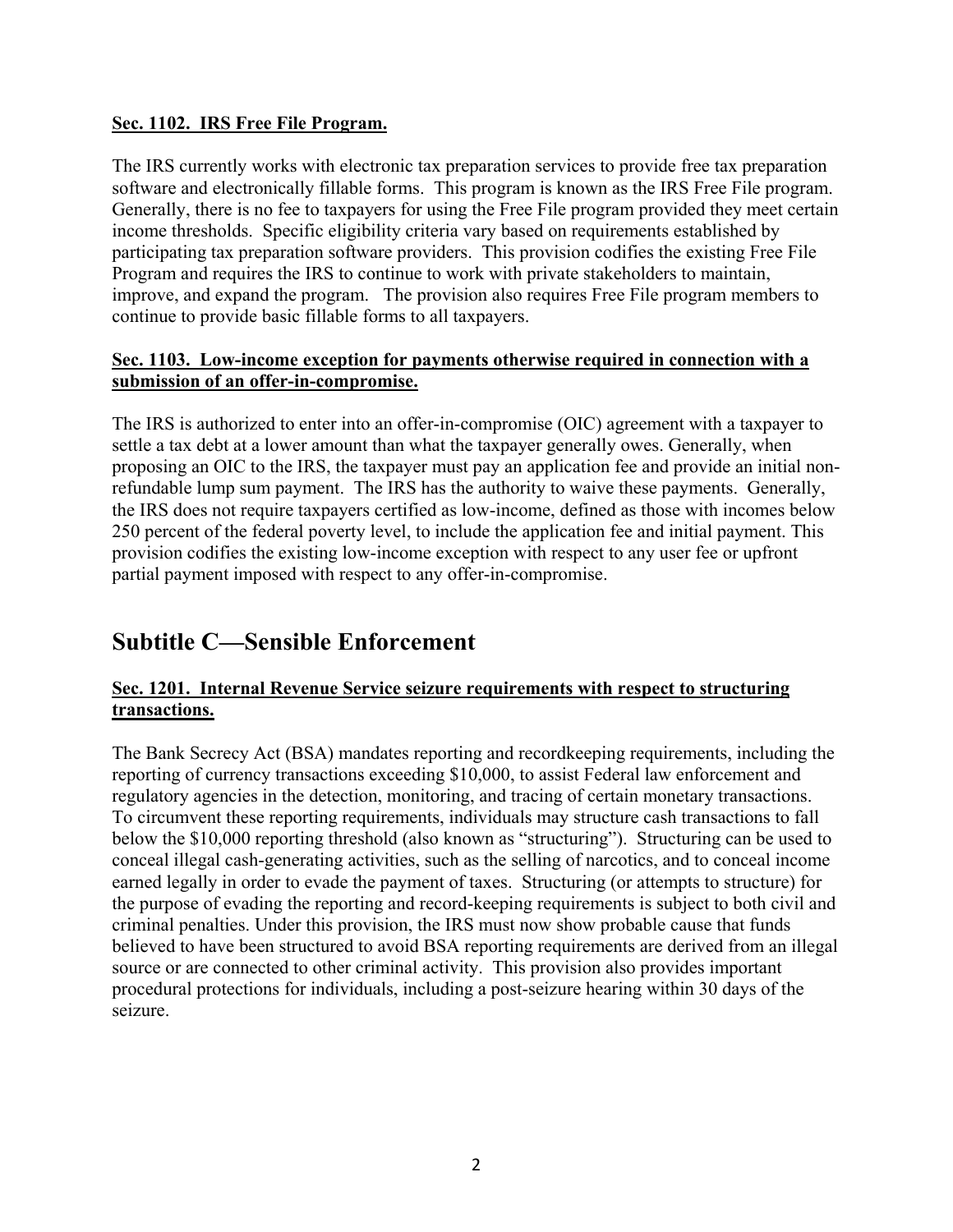#### **Sec. 1102. IRS Free File Program.**

The IRS currently works with electronic tax preparation services to provide free tax preparation software and electronically fillable forms. This program is known as the IRS Free File program. Generally, there is no fee to taxpayers for using the Free File program provided they meet certain income thresholds. Specific eligibility criteria vary based on requirements established by participating tax preparation software providers. This provision codifies the existing Free File Program and requires the IRS to continue to work with private stakeholders to maintain, improve, and expand the program. The provision also requires Free File program members to continue to provide basic fillable forms to all taxpayers.

## **Sec. 1103. Low-income exception for payments otherwise required in connection with a submission of an offer-in-compromise.**

The IRS is authorized to enter into an offer-in-compromise (OIC) agreement with a taxpayer to settle a tax debt at a lower amount than what the taxpayer generally owes. Generally, when proposing an OIC to the IRS, the taxpayer must pay an application fee and provide an initial nonrefundable lump sum payment. The IRS has the authority to waive these payments. Generally, the IRS does not require taxpayers certified as low-income, defined as those with incomes below 250 percent of the federal poverty level, to include the application fee and initial payment. This provision codifies the existing low-income exception with respect to any user fee or upfront partial payment imposed with respect to any offer-in-compromise.

# **Subtitle C—Sensible Enforcement**

## **Sec. 1201. Internal Revenue Service seizure requirements with respect to structuring transactions.**

The Bank Secrecy Act (BSA) mandates reporting and recordkeeping requirements, including the reporting of currency transactions exceeding \$10,000, to assist Federal law enforcement and regulatory agencies in the detection, monitoring, and tracing of certain monetary transactions. To circumvent these reporting requirements, individuals may structure cash transactions to fall below the \$10,000 reporting threshold (also known as "structuring"). Structuring can be used to conceal illegal cash-generating activities, such as the selling of narcotics, and to conceal income earned legally in order to evade the payment of taxes. Structuring (or attempts to structure) for the purpose of evading the reporting and record-keeping requirements is subject to both civil and criminal penalties. Under this provision, the IRS must now show probable cause that funds believed to have been structured to avoid BSA reporting requirements are derived from an illegal source or are connected to other criminal activity. This provision also provides important procedural protections for individuals, including a post-seizure hearing within 30 days of the seizure.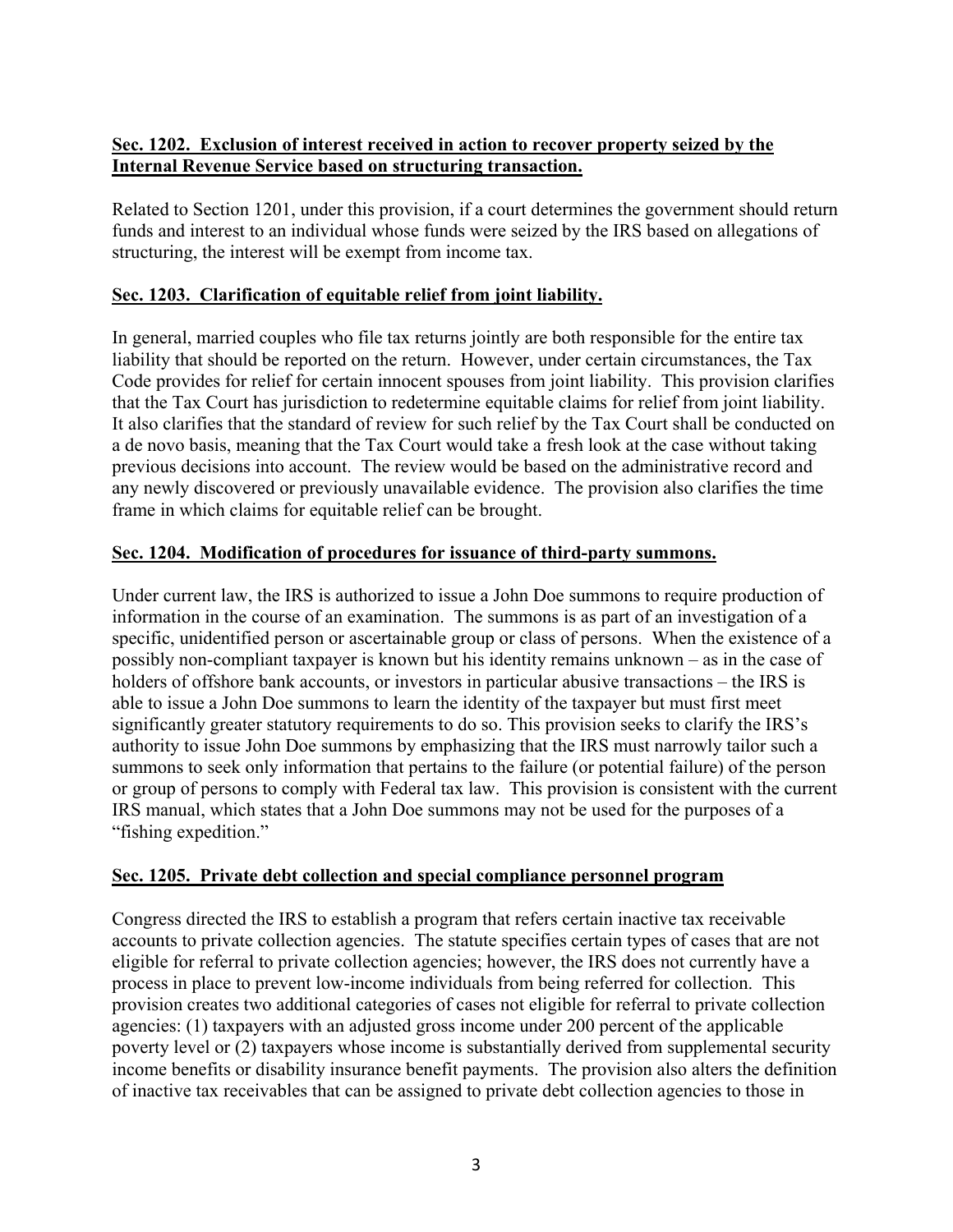# **Sec. 1202. Exclusion of interest received in action to recover property seized by the Internal Revenue Service based on structuring transaction.**

Related to Section 1201, under this provision, if a court determines the government should return funds and interest to an individual whose funds were seized by the IRS based on allegations of structuring, the interest will be exempt from income tax.

# **Sec. 1203. Clarification of equitable relief from joint liability.**

In general, married couples who file tax returns jointly are both responsible for the entire tax liability that should be reported on the return. However, under certain circumstances, the Tax Code provides for relief for certain innocent spouses from joint liability. This provision clarifies that the Tax Court has jurisdiction to redetermine equitable claims for relief from joint liability. It also clarifies that the standard of review for such relief by the Tax Court shall be conducted on a de novo basis, meaning that the Tax Court would take a fresh look at the case without taking previous decisions into account. The review would be based on the administrative record and any newly discovered or previously unavailable evidence. The provision also clarifies the time frame in which claims for equitable relief can be brought.

## **Sec. 1204. Modification of procedures for issuance of third-party summons.**

Under current law, the IRS is authorized to issue a John Doe summons to require production of information in the course of an examination. The summons is as part of an investigation of a specific, unidentified person or ascertainable group or class of persons. When the existence of a possibly non-compliant taxpayer is known but his identity remains unknown – as in the case of holders of offshore bank accounts, or investors in particular abusive transactions – the IRS is able to issue a John Doe summons to learn the identity of the taxpayer but must first meet significantly greater statutory requirements to do so. This provision seeks to clarify the IRS's authority to issue John Doe summons by emphasizing that the IRS must narrowly tailor such a summons to seek only information that pertains to the failure (or potential failure) of the person or group of persons to comply with Federal tax law. This provision is consistent with the current IRS manual, which states that a John Doe summons may not be used for the purposes of a "fishing expedition."

## **Sec. 1205. Private debt collection and special compliance personnel program**

Congress directed the IRS to establish a program that refers certain inactive tax receivable accounts to private collection agencies. The statute specifies certain types of cases that are not eligible for referral to private collection agencies; however, the IRS does not currently have a process in place to prevent low-income individuals from being referred for collection. This provision creates two additional categories of cases not eligible for referral to private collection agencies: (1) taxpayers with an adjusted gross income under 200 percent of the applicable poverty level or (2) taxpayers whose income is substantially derived from supplemental security income benefits or disability insurance benefit payments. The provision also alters the definition of inactive tax receivables that can be assigned to private debt collection agencies to those in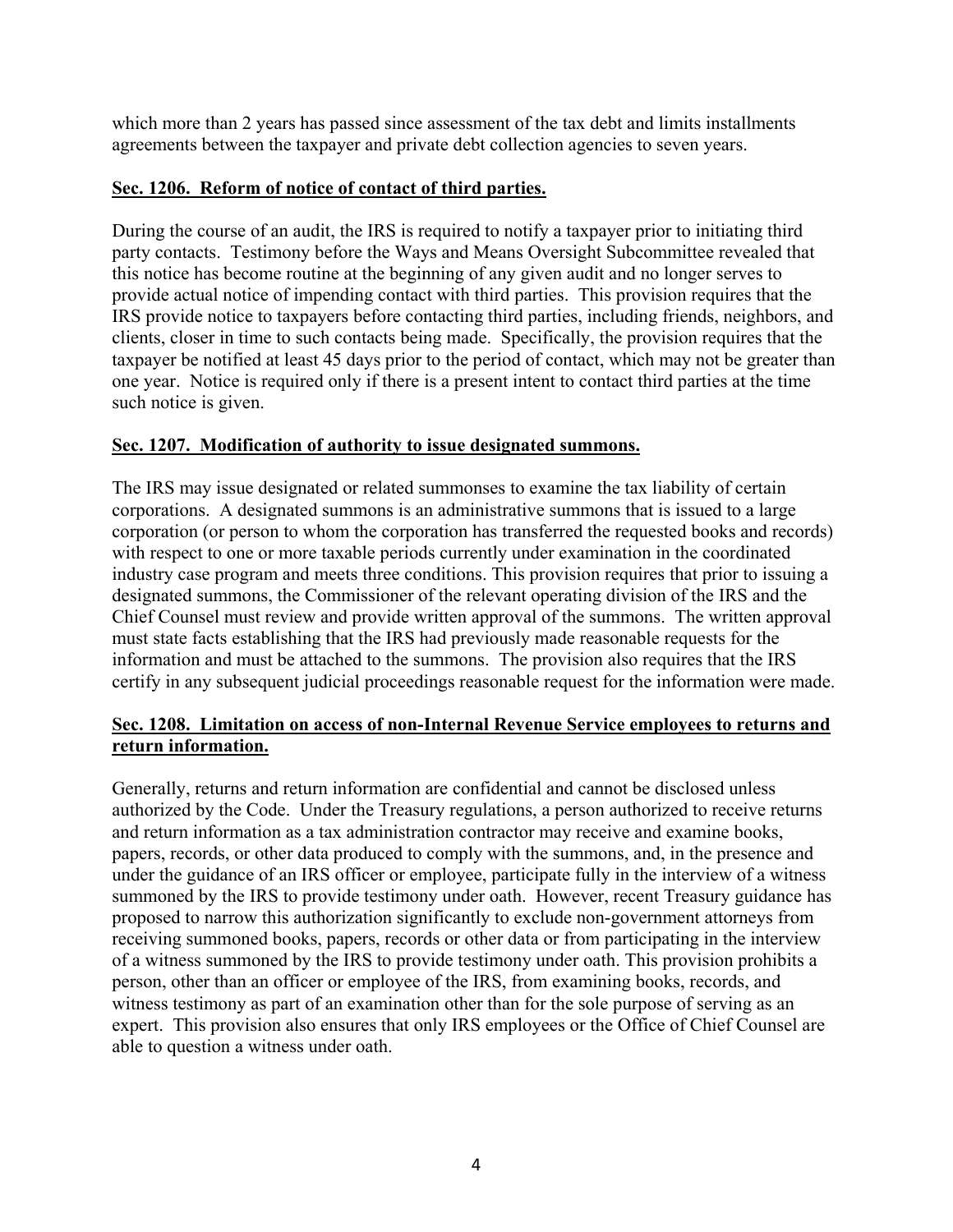which more than 2 years has passed since assessment of the tax debt and limits installments agreements between the taxpayer and private debt collection agencies to seven years.

## **Sec. 1206. Reform of notice of contact of third parties.**

During the course of an audit, the IRS is required to notify a taxpayer prior to initiating third party contacts. Testimony before the Ways and Means Oversight Subcommittee revealed that this notice has become routine at the beginning of any given audit and no longer serves to provide actual notice of impending contact with third parties. This provision requires that the IRS provide notice to taxpayers before contacting third parties, including friends, neighbors, and clients, closer in time to such contacts being made. Specifically, the provision requires that the taxpayer be notified at least 45 days prior to the period of contact, which may not be greater than one year. Notice is required only if there is a present intent to contact third parties at the time such notice is given.

## **Sec. 1207. Modification of authority to issue designated summons.**

The IRS may issue designated or related summonses to examine the tax liability of certain corporations. A designated summons is an administrative summons that is issued to a large corporation (or person to whom the corporation has transferred the requested books and records) with respect to one or more taxable periods currently under examination in the coordinated industry case program and meets three conditions. This provision requires that prior to issuing a designated summons, the Commissioner of the relevant operating division of the IRS and the Chief Counsel must review and provide written approval of the summons. The written approval must state facts establishing that the IRS had previously made reasonable requests for the information and must be attached to the summons. The provision also requires that the IRS certify in any subsequent judicial proceedings reasonable request for the information were made.

## **Sec. 1208. Limitation on access of non-Internal Revenue Service employees to returns and return information.**

Generally, returns and return information are confidential and cannot be disclosed unless authorized by the Code. Under the Treasury regulations, a person authorized to receive returns and return information as a tax administration contractor may receive and examine books, papers, records, or other data produced to comply with the summons, and, in the presence and under the guidance of an IRS officer or employee, participate fully in the interview of a witness summoned by the IRS to provide testimony under oath. However, recent Treasury guidance has proposed to narrow this authorization significantly to exclude non-government attorneys from receiving summoned books, papers, records or other data or from participating in the interview of a witness summoned by the IRS to provide testimony under oath. This provision prohibits a person, other than an officer or employee of the IRS, from examining books, records, and witness testimony as part of an examination other than for the sole purpose of serving as an expert. This provision also ensures that only IRS employees or the Office of Chief Counsel are able to question a witness under oath.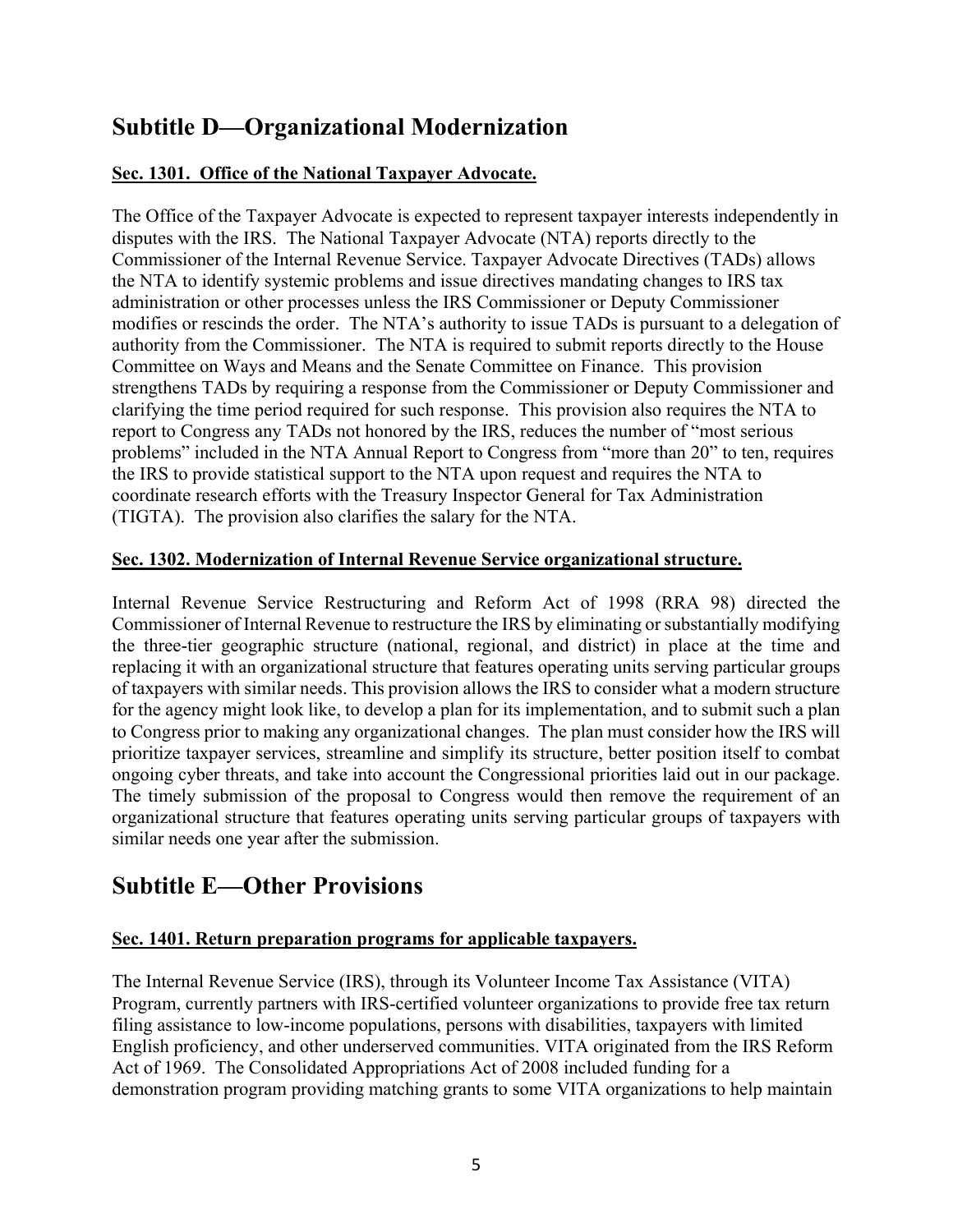# **Subtitle D—Organizational Modernization**

# **Sec. 1301. Office of the National Taxpayer Advocate.**

The Office of the Taxpayer Advocate is expected to represent taxpayer interests independently in disputes with the IRS. The National Taxpayer Advocate (NTA) reports directly to the Commissioner of the Internal Revenue Service. Taxpayer Advocate Directives (TADs) allows the NTA to identify systemic problems and issue directives mandating changes to IRS tax administration or other processes unless the IRS Commissioner or Deputy Commissioner modifies or rescinds the order. The NTA's authority to issue TADs is pursuant to a delegation of authority from the Commissioner. The NTA is required to submit reports directly to the House Committee on Ways and Means and the Senate Committee on Finance. This provision strengthens TADs by requiring a response from the Commissioner or Deputy Commissioner and clarifying the time period required for such response. This provision also requires the NTA to report to Congress any TADs not honored by the IRS, reduces the number of "most serious problems" included in the NTA Annual Report to Congress from "more than 20" to ten, requires the IRS to provide statistical support to the NTA upon request and requires the NTA to coordinate research efforts with the Treasury Inspector General for Tax Administration (TIGTA). The provision also clarifies the salary for the NTA.

## **Sec. 1302. Modernization of Internal Revenue Service organizational structure.**

Internal Revenue Service Restructuring and Reform Act of 1998 (RRA 98) directed the Commissioner of Internal Revenue to restructure the IRS by eliminating or substantially modifying the three-tier geographic structure (national, regional, and district) in place at the time and replacing it with an organizational structure that features operating units serving particular groups of taxpayers with similar needs. This provision allows the IRS to consider what a modern structure for the agency might look like, to develop a plan for its implementation, and to submit such a plan to Congress prior to making any organizational changes. The plan must consider how the IRS will prioritize taxpayer services, streamline and simplify its structure, better position itself to combat ongoing cyber threats, and take into account the Congressional priorities laid out in our package. The timely submission of the proposal to Congress would then remove the requirement of an organizational structure that features operating units serving particular groups of taxpayers with similar needs one year after the submission.

# **Subtitle E—Other Provisions**

## **Sec. 1401. Return preparation programs for applicable taxpayers.**

The Internal Revenue Service (IRS), through its Volunteer Income Tax Assistance (VITA) Program, currently partners with IRS-certified volunteer organizations to provide free tax return filing assistance to low-income populations, persons with disabilities, taxpayers with limited English proficiency, and other underserved communities. VITA originated from the IRS Reform Act of 1969. The Consolidated Appropriations Act of 2008 included funding for a demonstration program providing matching grants to some VITA organizations to help maintain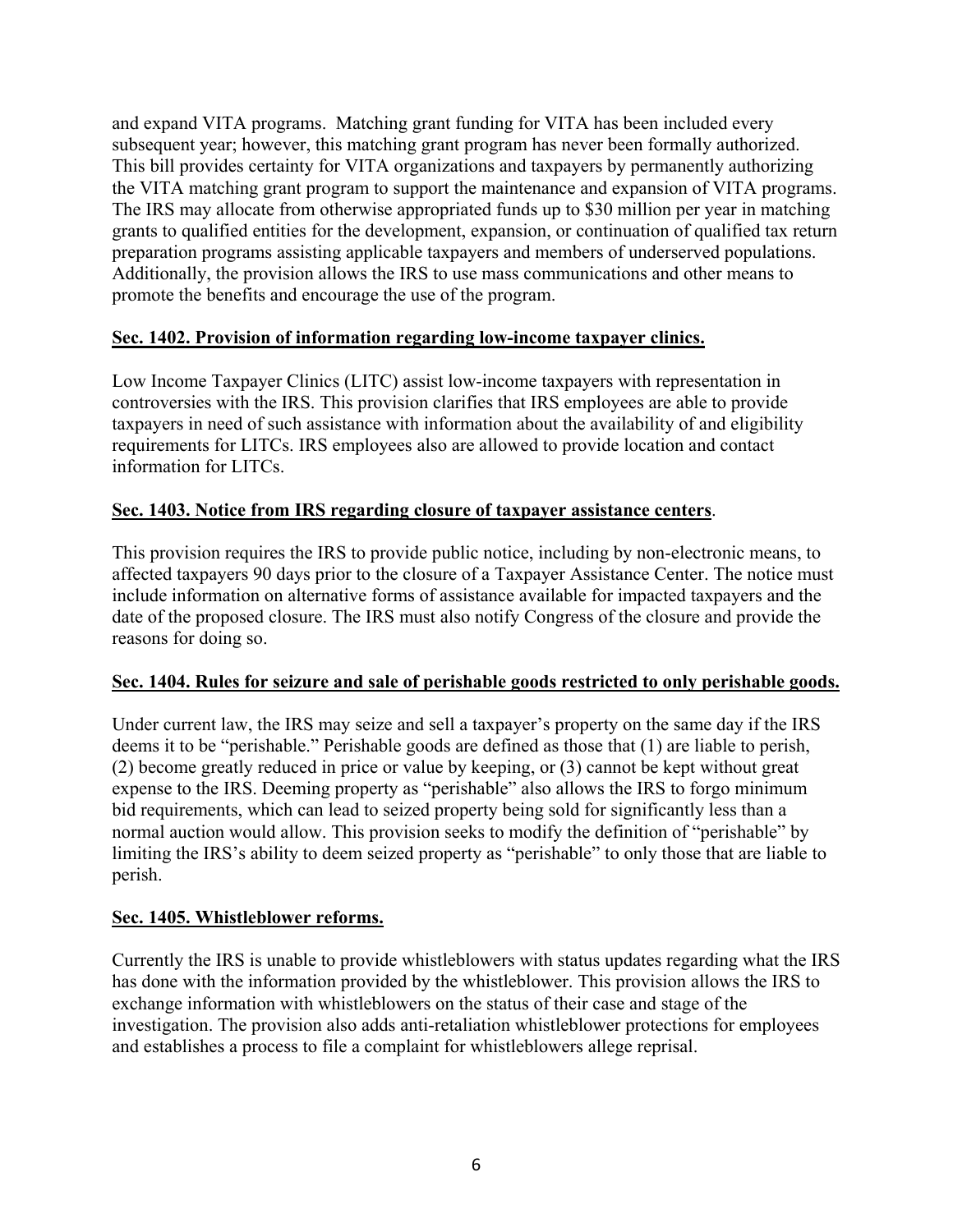and expand VITA programs. Matching grant funding for VITA has been included every subsequent year; however, this matching grant program has never been formally authorized. This bill provides certainty for VITA organizations and taxpayers by permanently authorizing the VITA matching grant program to support the maintenance and expansion of VITA programs. The IRS may allocate from otherwise appropriated funds up to \$30 million per year in matching grants to qualified entities for the development, expansion, or continuation of qualified tax return preparation programs assisting applicable taxpayers and members of underserved populations. Additionally, the provision allows the IRS to use mass communications and other means to promote the benefits and encourage the use of the program.

## **Sec. 1402. Provision of information regarding low-income taxpayer clinics.**

Low Income Taxpayer Clinics (LITC) assist low-income taxpayers with representation in controversies with the IRS. This provision clarifies that IRS employees are able to provide taxpayers in need of such assistance with information about the availability of and eligibility requirements for LITCs. IRS employees also are allowed to provide location and contact information for LITCs.

# **Sec. 1403. Notice from IRS regarding closure of taxpayer assistance centers**.

This provision requires the IRS to provide public notice, including by non-electronic means, to affected taxpayers 90 days prior to the closure of a Taxpayer Assistance Center. The notice must include information on alternative forms of assistance available for impacted taxpayers and the date of the proposed closure. The IRS must also notify Congress of the closure and provide the reasons for doing so.

## **Sec. 1404. Rules for seizure and sale of perishable goods restricted to only perishable goods.**

Under current law, the IRS may seize and sell a taxpayer's property on the same day if the IRS deems it to be "perishable." Perishable goods are defined as those that (1) are liable to perish, (2) become greatly reduced in price or value by keeping, or (3) cannot be kept without great expense to the IRS. Deeming property as "perishable" also allows the IRS to forgo minimum bid requirements, which can lead to seized property being sold for significantly less than a normal auction would allow. This provision seeks to modify the definition of "perishable" by limiting the IRS's ability to deem seized property as "perishable" to only those that are liable to perish.

## **Sec. 1405. Whistleblower reforms.**

Currently the IRS is unable to provide whistleblowers with status updates regarding what the IRS has done with the information provided by the whistleblower. This provision allows the IRS to exchange information with whistleblowers on the status of their case and stage of the investigation. The provision also adds anti-retaliation whistleblower protections for employees and establishes a process to file a complaint for whistleblowers allege reprisal.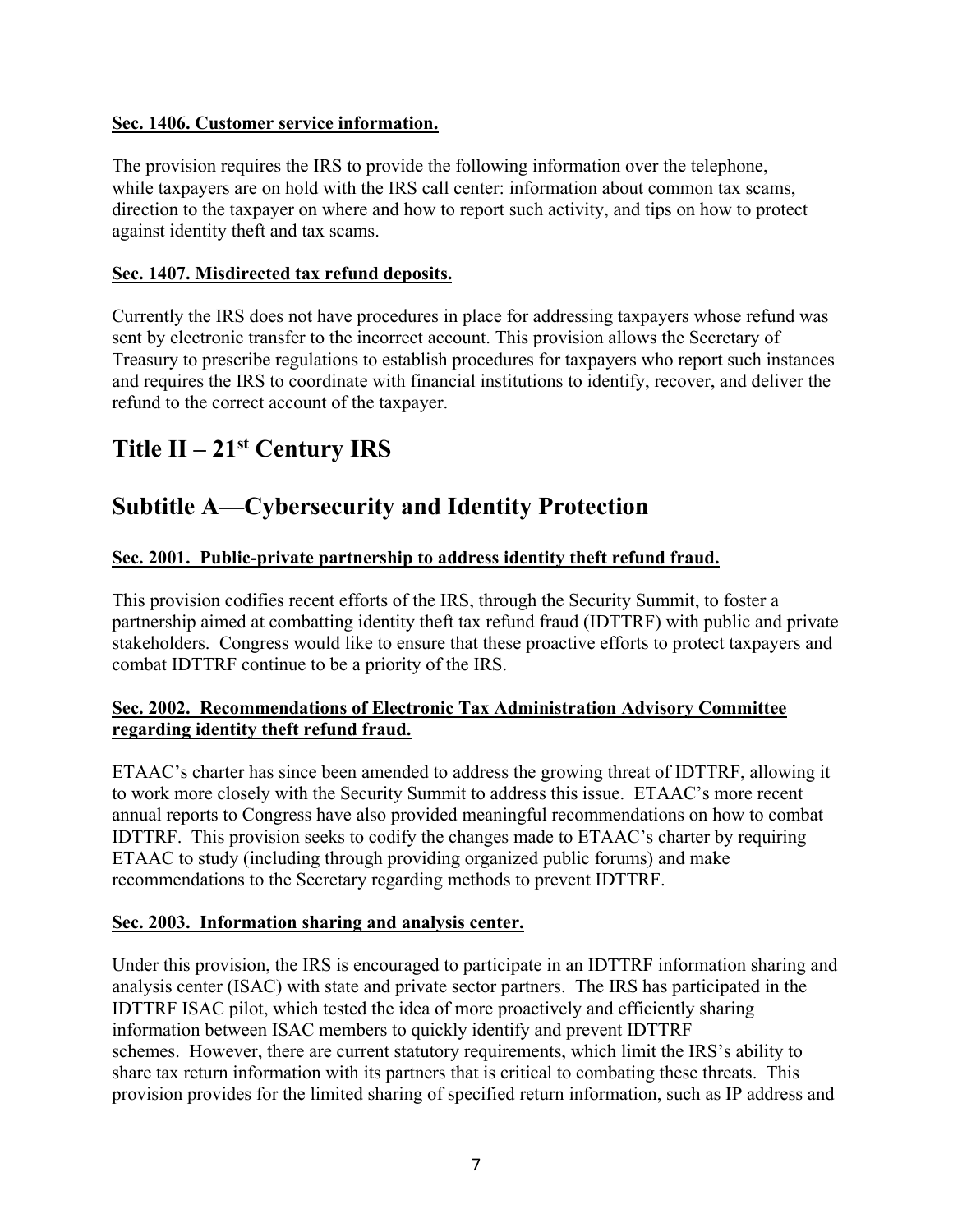## **Sec. 1406. Customer service information.**

The provision requires the IRS to provide the following information over the telephone, while taxpayers are on hold with the IRS call center: information about common tax scams, direction to the taxpayer on where and how to report such activity, and tips on how to protect against identity theft and tax scams.

#### **Sec. 1407. Misdirected tax refund deposits.**

Currently the IRS does not have procedures in place for addressing taxpayers whose refund was sent by electronic transfer to the incorrect account. This provision allows the Secretary of Treasury to prescribe regulations to establish procedures for taxpayers who report such instances and requires the IRS to coordinate with financial institutions to identify, recover, and deliver the refund to the correct account of the taxpayer.

# **Title II – 21st Century IRS**

# **Subtitle A—Cybersecurity and Identity Protection**

## **Sec. 2001. Public-private partnership to address identity theft refund fraud.**

This provision codifies recent efforts of the IRS, through the Security Summit, to foster a partnership aimed at combatting identity theft tax refund fraud (IDTTRF) with public and private stakeholders. Congress would like to ensure that these proactive efforts to protect taxpayers and combat IDTTRF continue to be a priority of the IRS.

## **Sec. 2002. Recommendations of Electronic Tax Administration Advisory Committee regarding identity theft refund fraud.**

ETAAC's charter has since been amended to address the growing threat of IDTTRF, allowing it to work more closely with the Security Summit to address this issue. ETAAC's more recent annual reports to Congress have also provided meaningful recommendations on how to combat IDTTRF. This provision seeks to codify the changes made to ETAAC's charter by requiring ETAAC to study (including through providing organized public forums) and make recommendations to the Secretary regarding methods to prevent IDTTRF.

#### **Sec. 2003. Information sharing and analysis center.**

Under this provision, the IRS is encouraged to participate in an IDTTRF information sharing and analysis center (ISAC) with state and private sector partners. The IRS has participated in the IDTTRF ISAC pilot, which tested the idea of more proactively and efficiently sharing information between ISAC members to quickly identify and prevent IDTTRF schemes. However, there are current statutory requirements, which limit the IRS's ability to share tax return information with its partners that is critical to combating these threats. This provision provides for the limited sharing of specified return information, such as IP address and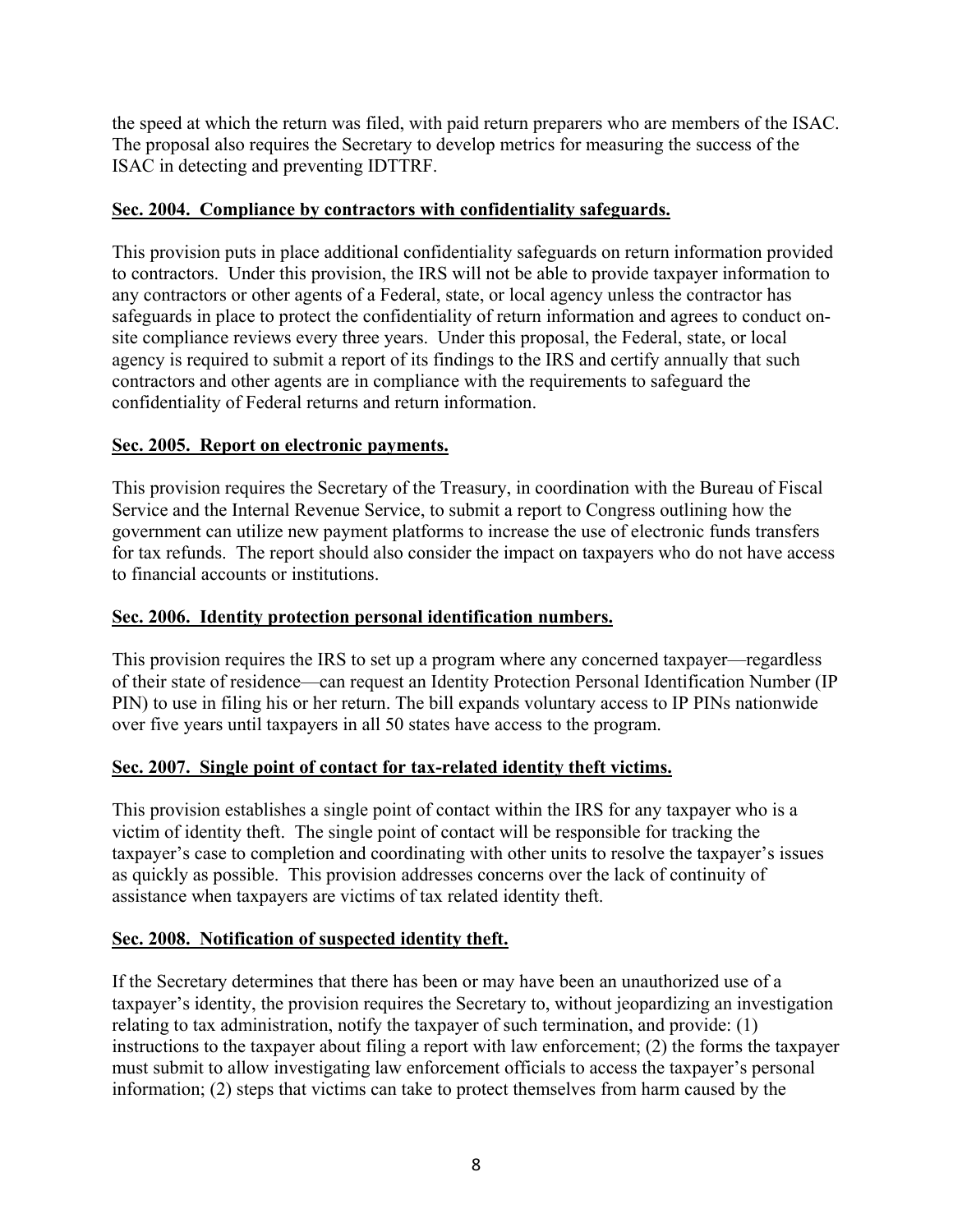the speed at which the return was filed, with paid return preparers who are members of the ISAC. The proposal also requires the Secretary to develop metrics for measuring the success of the ISAC in detecting and preventing IDTTRF.

## **Sec. 2004. Compliance by contractors with confidentiality safeguards.**

This provision puts in place additional confidentiality safeguards on return information provided to contractors. Under this provision, the IRS will not be able to provide taxpayer information to any contractors or other agents of a Federal, state, or local agency unless the contractor has safeguards in place to protect the confidentiality of return information and agrees to conduct onsite compliance reviews every three years. Under this proposal, the Federal, state, or local agency is required to submit a report of its findings to the IRS and certify annually that such contractors and other agents are in compliance with the requirements to safeguard the confidentiality of Federal returns and return information.

#### **Sec. 2005. Report on electronic payments.**

This provision requires the Secretary of the Treasury, in coordination with the Bureau of Fiscal Service and the Internal Revenue Service, to submit a report to Congress outlining how the government can utilize new payment platforms to increase the use of electronic funds transfers for tax refunds. The report should also consider the impact on taxpayers who do not have access to financial accounts or institutions.

#### **Sec. 2006. Identity protection personal identification numbers.**

This provision requires the IRS to set up a program where any concerned taxpayer—regardless of their state of residence—can request an Identity Protection Personal Identification Number (IP PIN) to use in filing his or her return. The bill expands voluntary access to IP PINs nationwide over five years until taxpayers in all 50 states have access to the program.

## **Sec. 2007. Single point of contact for tax-related identity theft victims.**

This provision establishes a single point of contact within the IRS for any taxpayer who is a victim of identity theft. The single point of contact will be responsible for tracking the taxpayer's case to completion and coordinating with other units to resolve the taxpayer's issues as quickly as possible. This provision addresses concerns over the lack of continuity of assistance when taxpayers are victims of tax related identity theft.

#### **Sec. 2008. Notification of suspected identity theft.**

If the Secretary determines that there has been or may have been an unauthorized use of a taxpayer's identity, the provision requires the Secretary to, without jeopardizing an investigation relating to tax administration, notify the taxpayer of such termination, and provide: (1) instructions to the taxpayer about filing a report with law enforcement; (2) the forms the taxpayer must submit to allow investigating law enforcement officials to access the taxpayer's personal information; (2) steps that victims can take to protect themselves from harm caused by the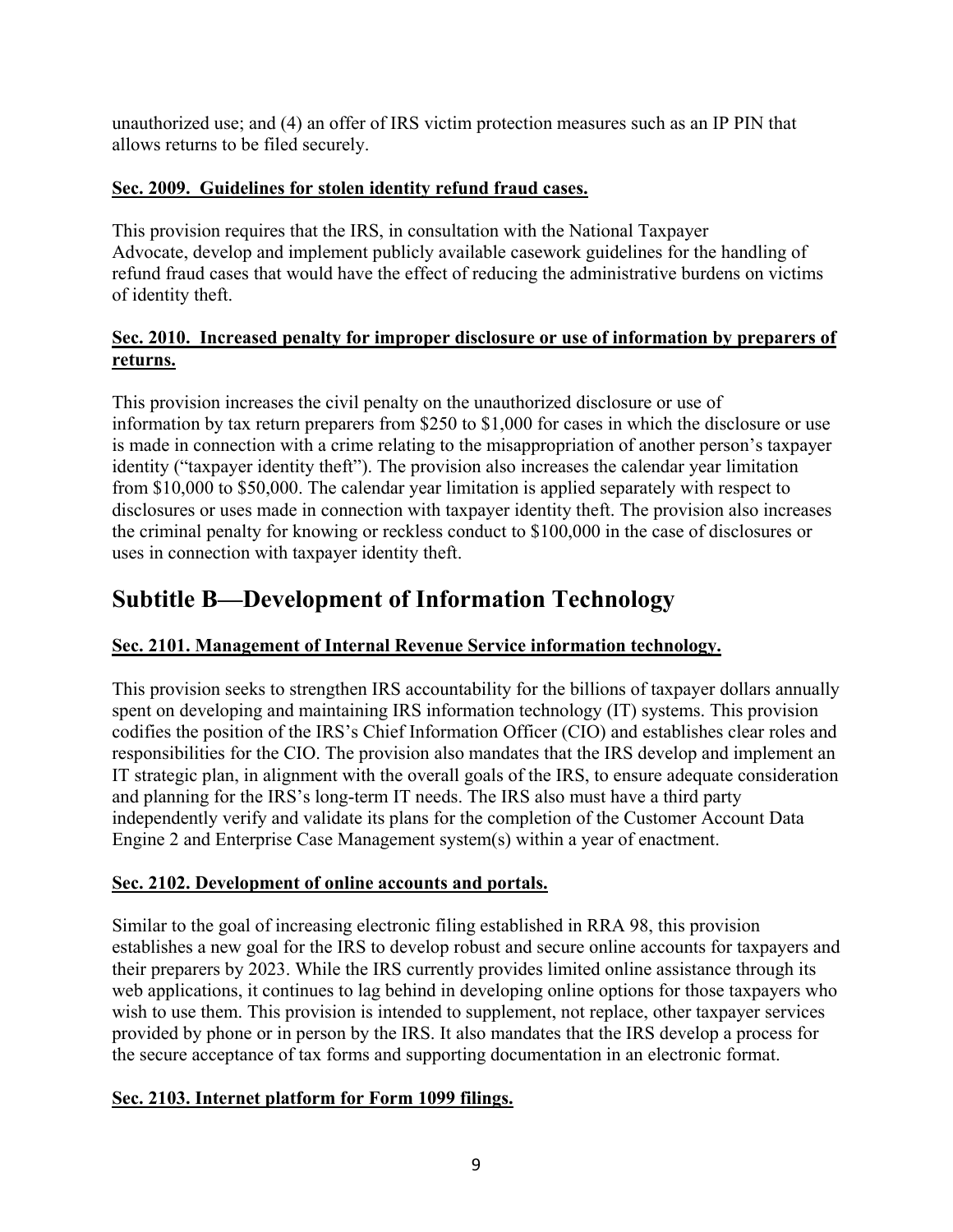unauthorized use; and (4) an offer of IRS victim protection measures such as an IP PIN that allows returns to be filed securely.

# **Sec. 2009. Guidelines for stolen identity refund fraud cases.**

This provision requires that the IRS, in consultation with the National Taxpayer Advocate, develop and implement publicly available casework guidelines for the handling of refund fraud cases that would have the effect of reducing the administrative burdens on victims of identity theft.

# **Sec. 2010. Increased penalty for improper disclosure or use of information by preparers of returns.**

This provision increases the civil penalty on the unauthorized disclosure or use of information by tax return preparers from \$250 to \$1,000 for cases in which the disclosure or use is made in connection with a crime relating to the misappropriation of another person's taxpayer identity ("taxpayer identity theft"). The provision also increases the calendar year limitation from \$10,000 to \$50,000. The calendar year limitation is applied separately with respect to disclosures or uses made in connection with taxpayer identity theft. The provision also increases the criminal penalty for knowing or reckless conduct to \$100,000 in the case of disclosures or uses in connection with taxpayer identity theft.

# **Subtitle B—Development of Information Technology**

# **Sec. 2101. Management of Internal Revenue Service information technology.**

This provision seeks to strengthen IRS accountability for the billions of taxpayer dollars annually spent on developing and maintaining IRS information technology (IT) systems. This provision codifies the position of the IRS's Chief Information Officer (CIO) and establishes clear roles and responsibilities for the CIO. The provision also mandates that the IRS develop and implement an IT strategic plan, in alignment with the overall goals of the IRS, to ensure adequate consideration and planning for the IRS's long-term IT needs. The IRS also must have a third party independently verify and validate its plans for the completion of the Customer Account Data Engine 2 and Enterprise Case Management system(s) within a year of enactment.

# **Sec. 2102. Development of online accounts and portals.**

Similar to the goal of increasing electronic filing established in RRA 98, this provision establishes a new goal for the IRS to develop robust and secure online accounts for taxpayers and their preparers by 2023. While the IRS currently provides limited online assistance through its web applications, it continues to lag behind in developing online options for those taxpayers who wish to use them. This provision is intended to supplement, not replace, other taxpayer services provided by phone or in person by the IRS. It also mandates that the IRS develop a process for the secure acceptance of tax forms and supporting documentation in an electronic format.

# **Sec. 2103. Internet platform for Form 1099 filings.**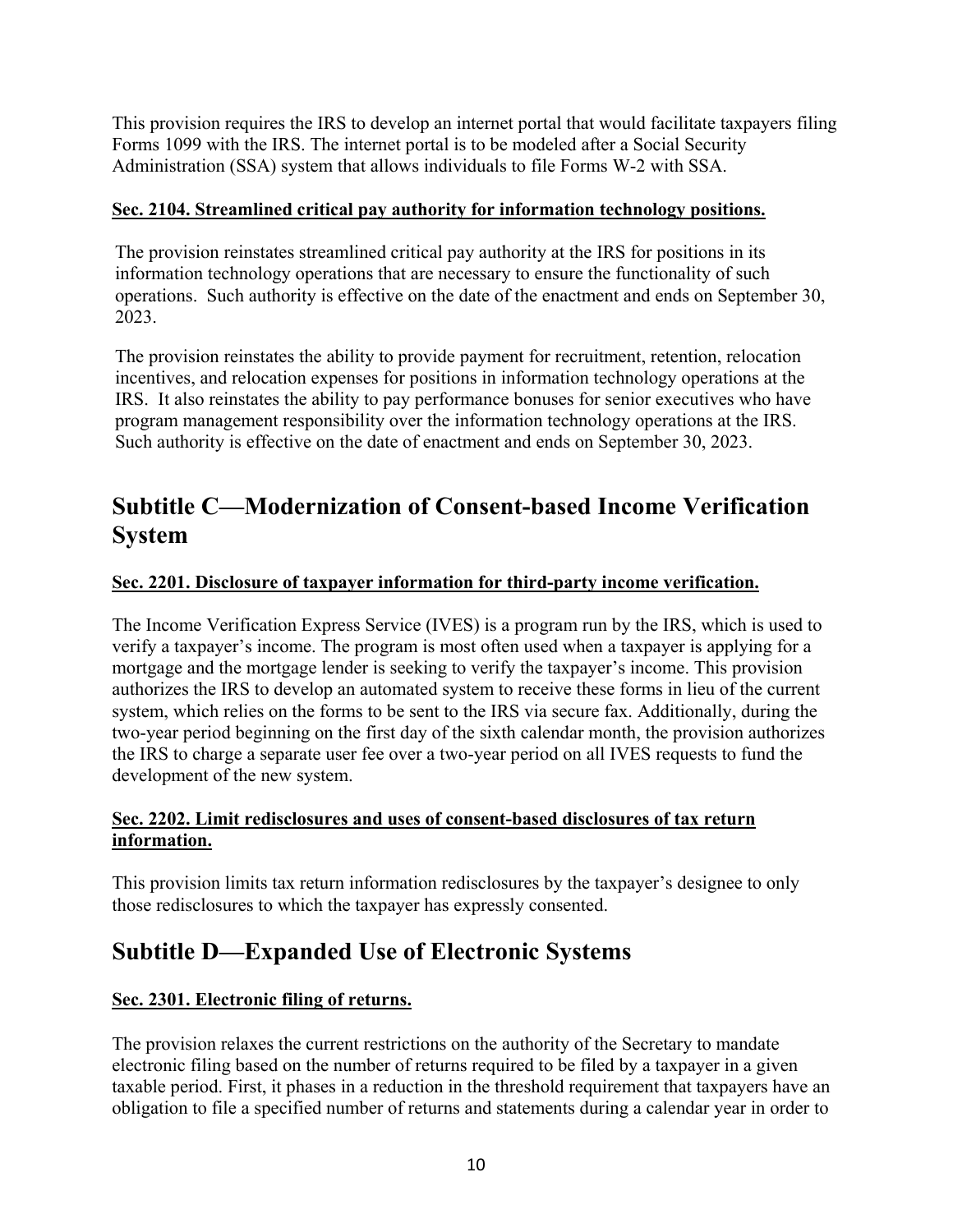This provision requires the IRS to develop an internet portal that would facilitate taxpayers filing Forms 1099 with the IRS. The internet portal is to be modeled after a Social Security Administration (SSA) system that allows individuals to file Forms W-2 with SSA.

# **Sec. 2104. Streamlined critical pay authority for information technology positions.**

The provision reinstates streamlined critical pay authority at the IRS for positions in its information technology operations that are necessary to ensure the functionality of such operations. Such authority is effective on the date of the enactment and ends on September 30, 2023.

The provision reinstates the ability to provide payment for recruitment, retention, relocation incentives, and relocation expenses for positions in information technology operations at the IRS. It also reinstates the ability to pay performance bonuses for senior executives who have program management responsibility over the information technology operations at the IRS. Such authority is effective on the date of enactment and ends on September 30, 2023.

# **Subtitle C—Modernization of Consent-based Income Verification System**

# **Sec. 2201. Disclosure of taxpayer information for third-party income verification.**

The Income Verification Express Service (IVES) is a program run by the IRS, which is used to verify a taxpayer's income. The program is most often used when a taxpayer is applying for a mortgage and the mortgage lender is seeking to verify the taxpayer's income. This provision authorizes the IRS to develop an automated system to receive these forms in lieu of the current system, which relies on the forms to be sent to the IRS via secure fax. Additionally, during the two-year period beginning on the first day of the sixth calendar month, the provision authorizes the IRS to charge a separate user fee over a two-year period on all IVES requests to fund the development of the new system.

## **Sec. 2202. Limit redisclosures and uses of consent-based disclosures of tax return information.**

This provision limits tax return information redisclosures by the taxpayer's designee to only those redisclosures to which the taxpayer has expressly consented.

# **Subtitle D—Expanded Use of Electronic Systems**

# **Sec. 2301. Electronic filing of returns.**

The provision relaxes the current restrictions on the authority of the Secretary to mandate electronic filing based on the number of returns required to be filed by a taxpayer in a given taxable period. First, it phases in a reduction in the threshold requirement that taxpayers have an obligation to file a specified number of returns and statements during a calendar year in order to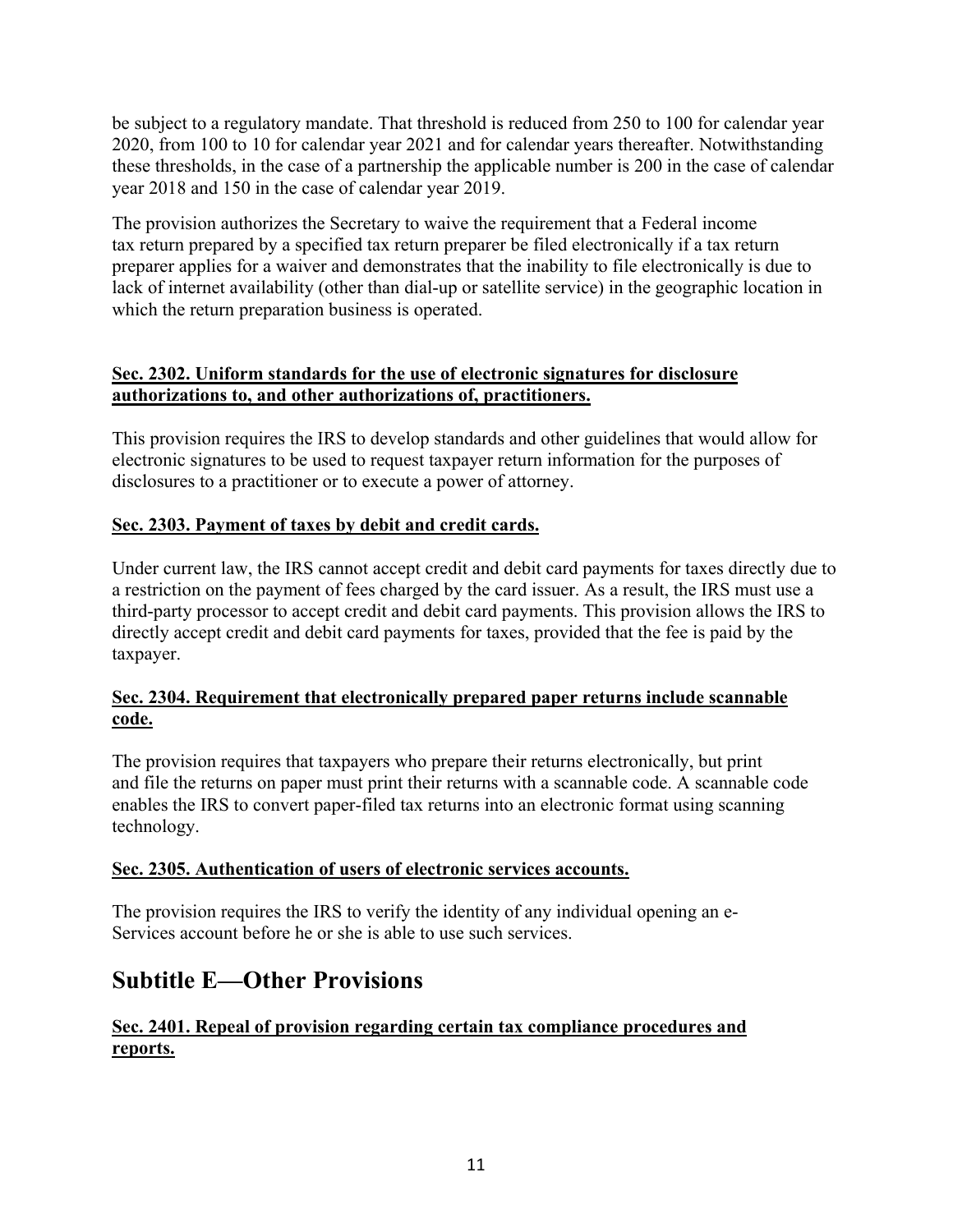be subject to a regulatory mandate. That threshold is reduced from 250 to 100 for calendar year 2020, from 100 to 10 for calendar year 2021 and for calendar years thereafter. Notwithstanding these thresholds, in the case of a partnership the applicable number is 200 in the case of calendar year 2018 and 150 in the case of calendar year 2019.

The provision authorizes the Secretary to waive the requirement that a Federal income tax return prepared by a specified tax return preparer be filed electronically if a tax return preparer applies for a waiver and demonstrates that the inability to file electronically is due to lack of internet availability (other than dial-up or satellite service) in the geographic location in which the return preparation business is operated.

# **Sec. 2302. Uniform standards for the use of electronic signatures for disclosure authorizations to, and other authorizations of, practitioners.**

This provision requires the IRS to develop standards and other guidelines that would allow for electronic signatures to be used to request taxpayer return information for the purposes of disclosures to a practitioner or to execute a power of attorney.

# **Sec. 2303. Payment of taxes by debit and credit cards.**

Under current law, the IRS cannot accept credit and debit card payments for taxes directly due to a restriction on the payment of fees charged by the card issuer. As a result, the IRS must use a third-party processor to accept credit and debit card payments. This provision allows the IRS to directly accept credit and debit card payments for taxes, provided that the fee is paid by the taxpayer.

# **Sec. 2304. Requirement that electronically prepared paper returns include scannable code.**

The provision requires that taxpayers who prepare their returns electronically, but print and file the returns on paper must print their returns with a scannable code. A scannable code enables the IRS to convert paper-filed tax returns into an electronic format using scanning technology.

## **Sec. 2305. Authentication of users of electronic services accounts.**

The provision requires the IRS to verify the identity of any individual opening an e-Services account before he or she is able to use such services.

# **Subtitle E—Other Provisions**

# **Sec. 2401. Repeal of provision regarding certain tax compliance procedures and reports.**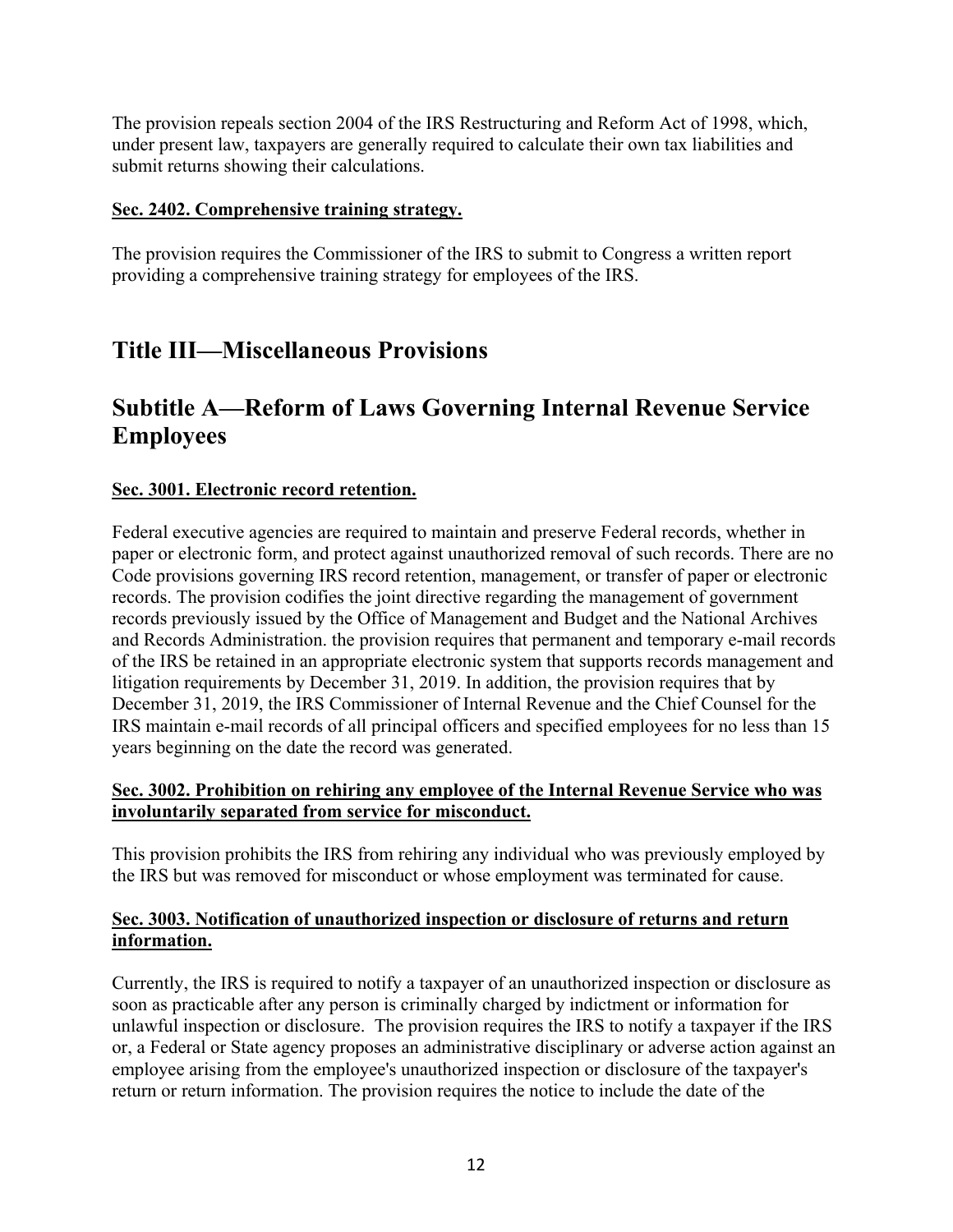The provision repeals section 2004 of the IRS Restructuring and Reform Act of 1998, which, under present law, taxpayers are generally required to calculate their own tax liabilities and submit returns showing their calculations.

#### **Sec. 2402. Comprehensive training strategy.**

The provision requires the Commissioner of the IRS to submit to Congress a written report providing a comprehensive training strategy for employees of the IRS.

# **Title III—Miscellaneous Provisions**

# **Subtitle A—Reform of Laws Governing Internal Revenue Service Employees**

## **Sec. 3001. Electronic record retention.**

Federal executive agencies are required to maintain and preserve Federal records, whether in paper or electronic form, and protect against unauthorized removal of such records. There are no Code provisions governing IRS record retention, management, or transfer of paper or electronic records. The provision codifies the joint directive regarding the management of government records previously issued by the Office of Management and Budget and the National Archives and Records Administration. the provision requires that permanent and temporary e-mail records of the IRS be retained in an appropriate electronic system that supports records management and litigation requirements by December 31, 2019. In addition, the provision requires that by December 31, 2019, the IRS Commissioner of Internal Revenue and the Chief Counsel for the IRS maintain e-mail records of all principal officers and specified employees for no less than 15 years beginning on the date the record was generated.

## **Sec. 3002. Prohibition on rehiring any employee of the Internal Revenue Service who was involuntarily separated from service for misconduct.**

This provision prohibits the IRS from rehiring any individual who was previously employed by the IRS but was removed for misconduct or whose employment was terminated for cause.

## **Sec. 3003. Notification of unauthorized inspection or disclosure of returns and return information.**

Currently, the IRS is required to notify a taxpayer of an unauthorized inspection or disclosure as soon as practicable after any person is criminally charged by indictment or information for unlawful inspection or disclosure. The provision requires the IRS to notify a taxpayer if the IRS or, a Federal or State agency proposes an administrative disciplinary or adverse action against an employee arising from the employee's unauthorized inspection or disclosure of the taxpayer's return or return information. The provision requires the notice to include the date of the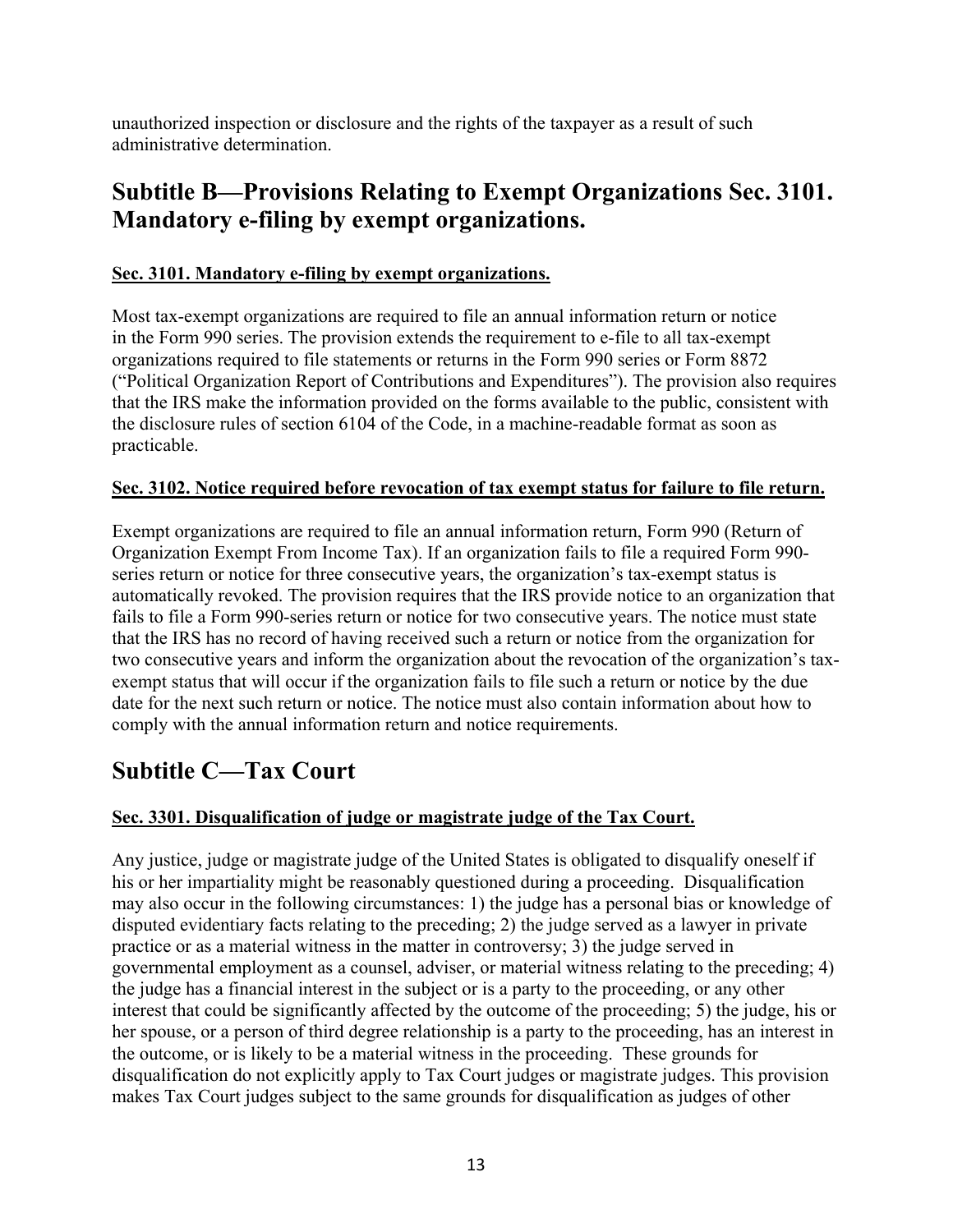unauthorized inspection or disclosure and the rights of the taxpayer as a result of such administrative determination.

# **Subtitle B—Provisions Relating to Exempt Organizations Sec. 3101. Mandatory e-filing by exempt organizations.**

# **Sec. 3101. Mandatory e-filing by exempt organizations.**

Most tax-exempt organizations are required to file an annual information return or notice in the Form 990 series. The provision extends the requirement to e-file to all tax-exempt organizations required to file statements or returns in the Form 990 series or Form 8872 ("Political Organization Report of Contributions and Expenditures"). The provision also requires that the IRS make the information provided on the forms available to the public, consistent with the disclosure rules of section 6104 of the Code, in a machine-readable format as soon as practicable.

# **Sec. 3102. Notice required before revocation of tax exempt status for failure to file return.**

Exempt organizations are required to file an annual information return, Form 990 (Return of Organization Exempt From Income Tax). If an organization fails to file a required Form 990 series return or notice for three consecutive years, the organization's tax-exempt status is automatically revoked. The provision requires that the IRS provide notice to an organization that fails to file a Form 990-series return or notice for two consecutive years. The notice must state that the IRS has no record of having received such a return or notice from the organization for two consecutive years and inform the organization about the revocation of the organization's taxexempt status that will occur if the organization fails to file such a return or notice by the due date for the next such return or notice. The notice must also contain information about how to comply with the annual information return and notice requirements.

# **Subtitle C—Tax Court**

# **Sec. 3301. Disqualification of judge or magistrate judge of the Tax Court.**

Any justice, judge or magistrate judge of the United States is obligated to disqualify oneself if his or her impartiality might be reasonably questioned during a proceeding. Disqualification may also occur in the following circumstances: 1) the judge has a personal bias or knowledge of disputed evidentiary facts relating to the preceding; 2) the judge served as a lawyer in private practice or as a material witness in the matter in controversy; 3) the judge served in governmental employment as a counsel, adviser, or material witness relating to the preceding; 4) the judge has a financial interest in the subject or is a party to the proceeding, or any other interest that could be significantly affected by the outcome of the proceeding; 5) the judge, his or her spouse, or a person of third degree relationship is a party to the proceeding, has an interest in the outcome, or is likely to be a material witness in the proceeding. These grounds for disqualification do not explicitly apply to Tax Court judges or magistrate judges. This provision makes Tax Court judges subject to the same grounds for disqualification as judges of other